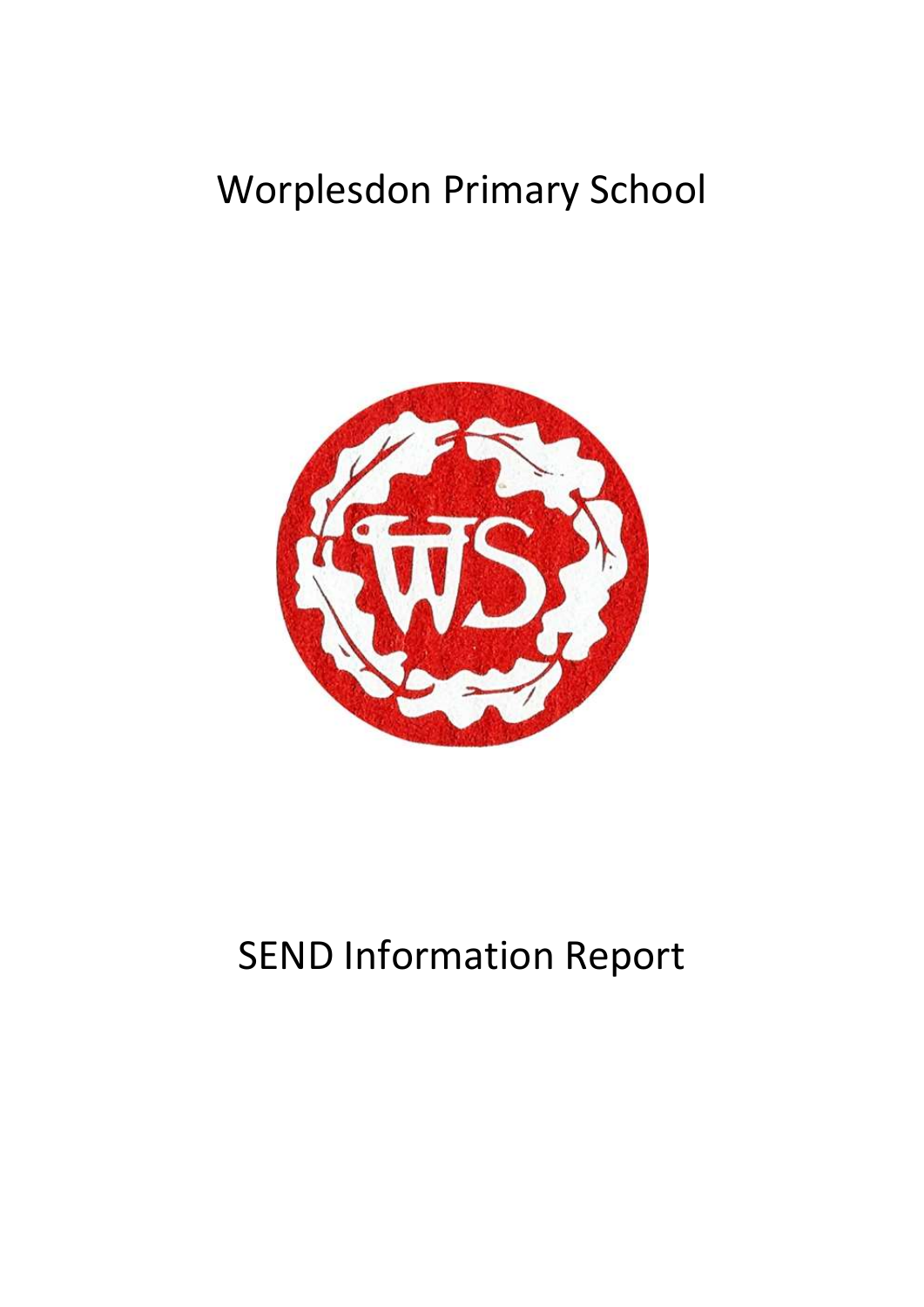# Worplesdon Primary School



# SEND Information Report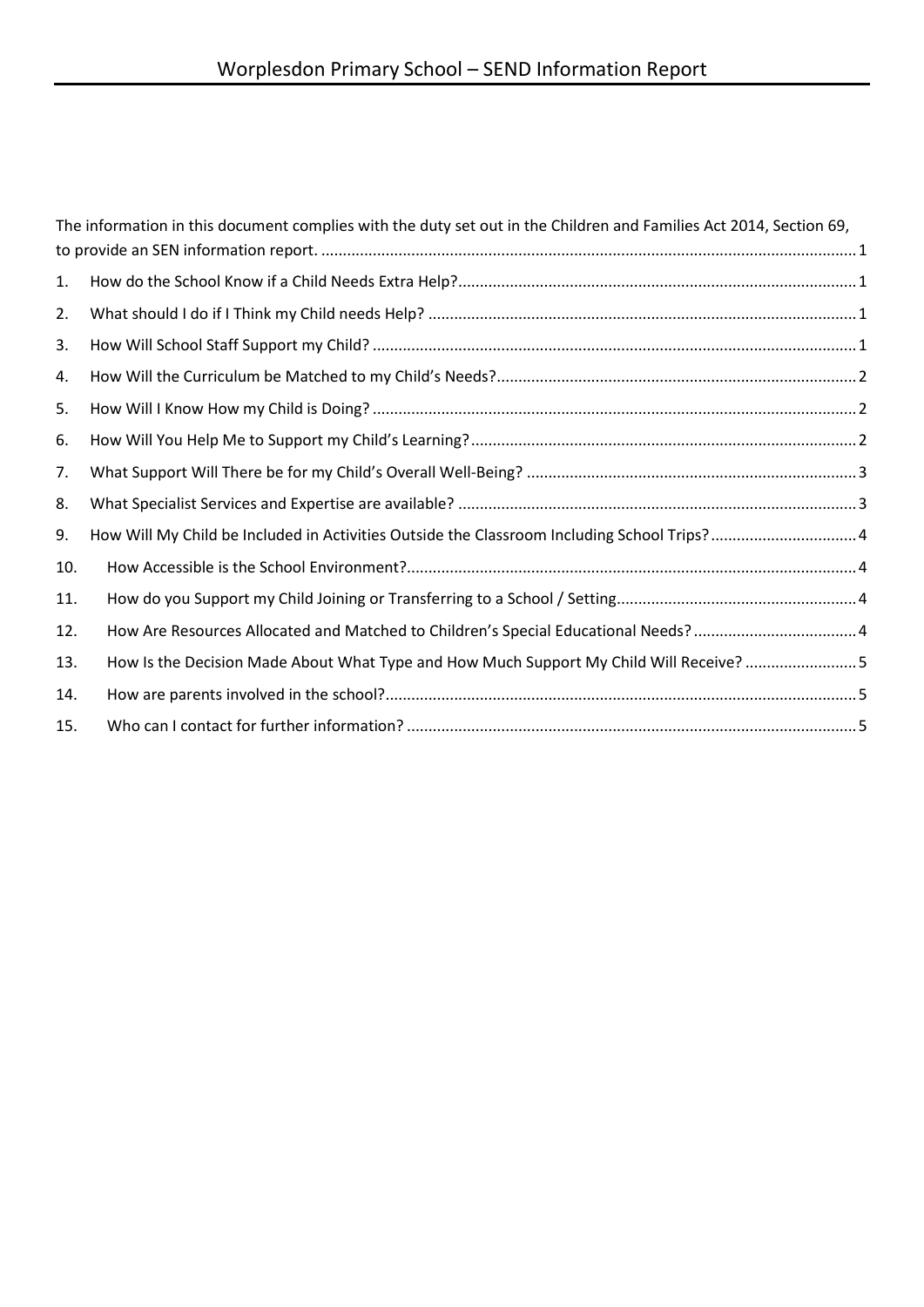|     | The information in this document complies with the duty set out in the Children and Families Act 2014, Section 69, |  |
|-----|--------------------------------------------------------------------------------------------------------------------|--|
|     |                                                                                                                    |  |
| 1.  |                                                                                                                    |  |
| 2.  |                                                                                                                    |  |
| 3.  |                                                                                                                    |  |
| 4.  |                                                                                                                    |  |
| 5.  |                                                                                                                    |  |
| 6.  |                                                                                                                    |  |
| 7.  |                                                                                                                    |  |
| 8.  |                                                                                                                    |  |
| 9.  | How Will My Child be Included in Activities Outside the Classroom Including School Trips? 4                        |  |
| 10. |                                                                                                                    |  |
| 11. |                                                                                                                    |  |
| 12. | How Are Resources Allocated and Matched to Children's Special Educational Needs?  4                                |  |
| 13. | How Is the Decision Made About What Type and How Much Support My Child Will Receive? 5                             |  |
| 14. |                                                                                                                    |  |
| 15. |                                                                                                                    |  |
|     |                                                                                                                    |  |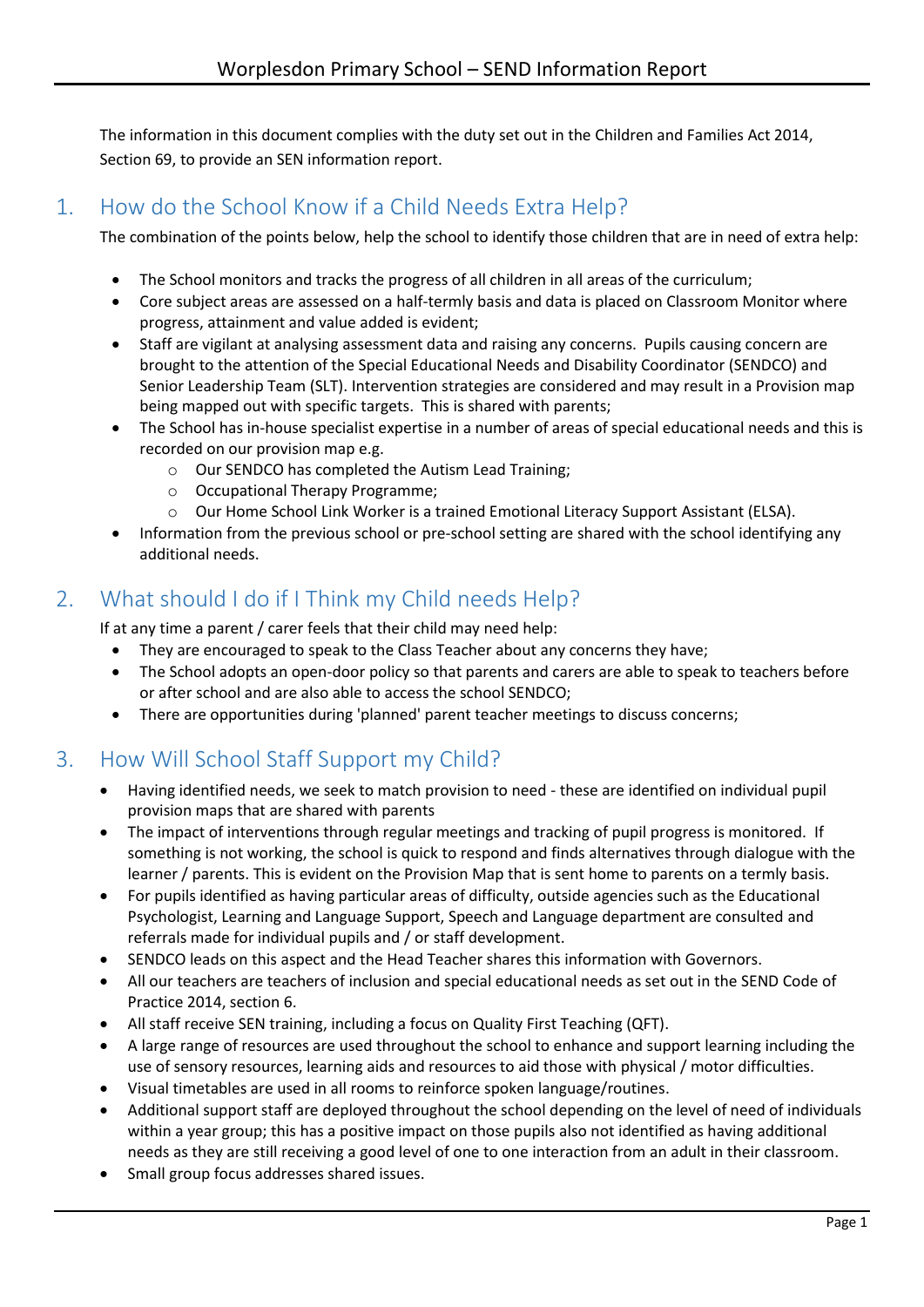<span id="page-2-0"></span>The information in this document complies with the duty set out in the Children and Families Act 2014, Section 69, to provide an SEN information report.

## <span id="page-2-1"></span>1. How do the School Know if a Child Needs Extra Help?

The combination of the points below, help the school to identify those children that are in need of extra help:

- The School monitors and tracks the progress of all children in all areas of the curriculum;
- Core subject areas are assessed on a half-termly basis and data is placed on Classroom Monitor where progress, attainment and value added is evident;
- Staff are vigilant at analysing assessment data and raising any concerns. Pupils causing concern are brought to the attention of the Special Educational Needs and Disability Coordinator (SENDCO) and Senior Leadership Team (SLT). Intervention strategies are considered and may result in a Provision map being mapped out with specific targets. This is shared with parents;
- The School has in-house specialist expertise in a number of areas of special educational needs and this is recorded on our provision map e.g.
	- o Our SENDCO has completed the Autism Lead Training;
	- o Occupational Therapy Programme;
	- o Our Home School Link Worker is a trained Emotional Literacy Support Assistant (ELSA).
- Information from the previous school or pre-school setting are shared with the school identifying any additional needs.

# <span id="page-2-2"></span>2. What should I do if I Think my Child needs Help?

If at any time a parent / carer feels that their child may need help:

- They are encouraged to speak to the Class Teacher about any concerns they have;
- The School adopts an open-door policy so that parents and carers are able to speak to teachers before or after school and are also able to access the school SENDCO;
- There are opportunities during 'planned' parent teacher meetings to discuss concerns;

# <span id="page-2-3"></span>3. How Will School Staff Support my Child?

- Having identified needs, we seek to match provision to need these are identified on individual pupil provision maps that are shared with parents
- The impact of interventions through regular meetings and tracking of pupil progress is monitored. If something is not working, the school is quick to respond and finds alternatives through dialogue with the learner / parents. This is evident on the Provision Map that is sent home to parents on a termly basis.
- For pupils identified as having particular areas of difficulty, outside agencies such as the Educational Psychologist, Learning and Language Support, Speech and Language department are consulted and referrals made for individual pupils and / or staff development.
- SENDCO leads on this aspect and the Head Teacher shares this information with Governors.
- All our teachers are teachers of inclusion and special educational needs as set out in the SEND Code of Practice 2014, section 6.
- All staff receive SEN training, including a focus on Quality First Teaching (QFT).
- A large range of resources are used throughout the school to enhance and support learning including the use of sensory resources, learning aids and resources to aid those with physical / motor difficulties.
- Visual timetables are used in all rooms to reinforce spoken language/routines.
- Additional support staff are deployed throughout the school depending on the level of need of individuals within a year group; this has a positive impact on those pupils also not identified as having additional needs as they are still receiving a good level of one to one interaction from an adult in their classroom.
- Small group focus addresses shared issues.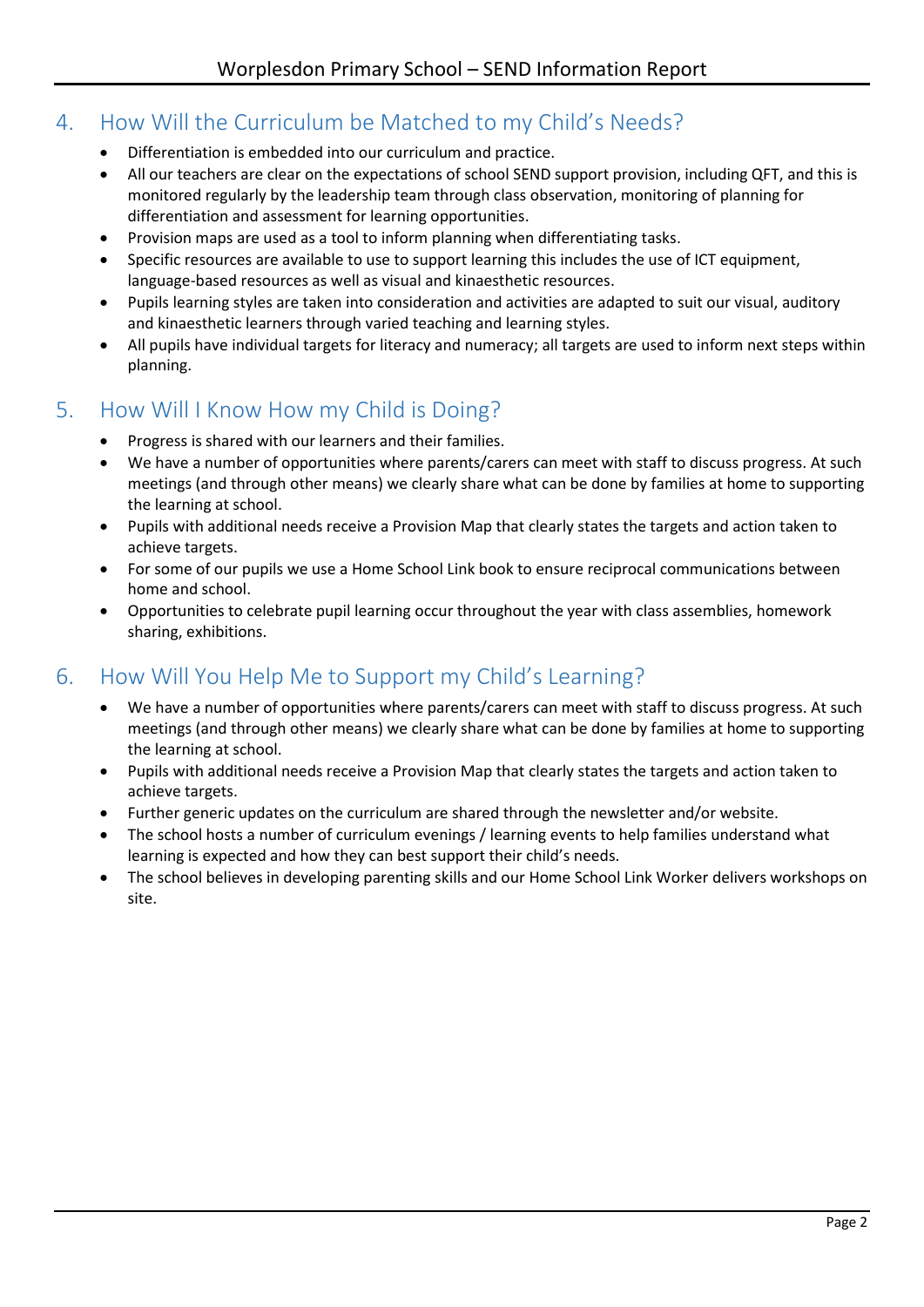# <span id="page-3-0"></span>4. How Will the Curriculum be Matched to my Child's Needs?

- Differentiation is embedded into our curriculum and practice.
- All our teachers are clear on the expectations of school SEND support provision, including QFT, and this is monitored regularly by the leadership team through class observation, monitoring of planning for differentiation and assessment for learning opportunities.
- Provision maps are used as a tool to inform planning when differentiating tasks.
- Specific resources are available to use to support learning this includes the use of ICT equipment, language-based resources as well as visual and kinaesthetic resources.
- Pupils learning styles are taken into consideration and activities are adapted to suit our visual, auditory and kinaesthetic learners through varied teaching and learning styles.
- All pupils have individual targets for literacy and numeracy; all targets are used to inform next steps within planning.

## <span id="page-3-1"></span>5. How Will I Know How my Child is Doing?

- Progress is shared with our learners and their families.
- We have a number of opportunities where parents/carers can meet with staff to discuss progress. At such meetings (and through other means) we clearly share what can be done by families at home to supporting the learning at school.
- Pupils with additional needs receive a Provision Map that clearly states the targets and action taken to achieve targets.
- For some of our pupils we use a Home School Link book to ensure reciprocal communications between home and school.
- Opportunities to celebrate pupil learning occur throughout the year with class assemblies, homework sharing, exhibitions.

# <span id="page-3-2"></span>6. How Will You Help Me to Support my Child's Learning?

- We have a number of opportunities where parents/carers can meet with staff to discuss progress. At such meetings (and through other means) we clearly share what can be done by families at home to supporting the learning at school.
- Pupils with additional needs receive a Provision Map that clearly states the targets and action taken to achieve targets.
- Further generic updates on the curriculum are shared through the newsletter and/or website.
- The school hosts a number of curriculum evenings / learning events to help families understand what learning is expected and how they can best support their child's needs.
- The school believes in developing parenting skills and our Home School Link Worker delivers workshops on site.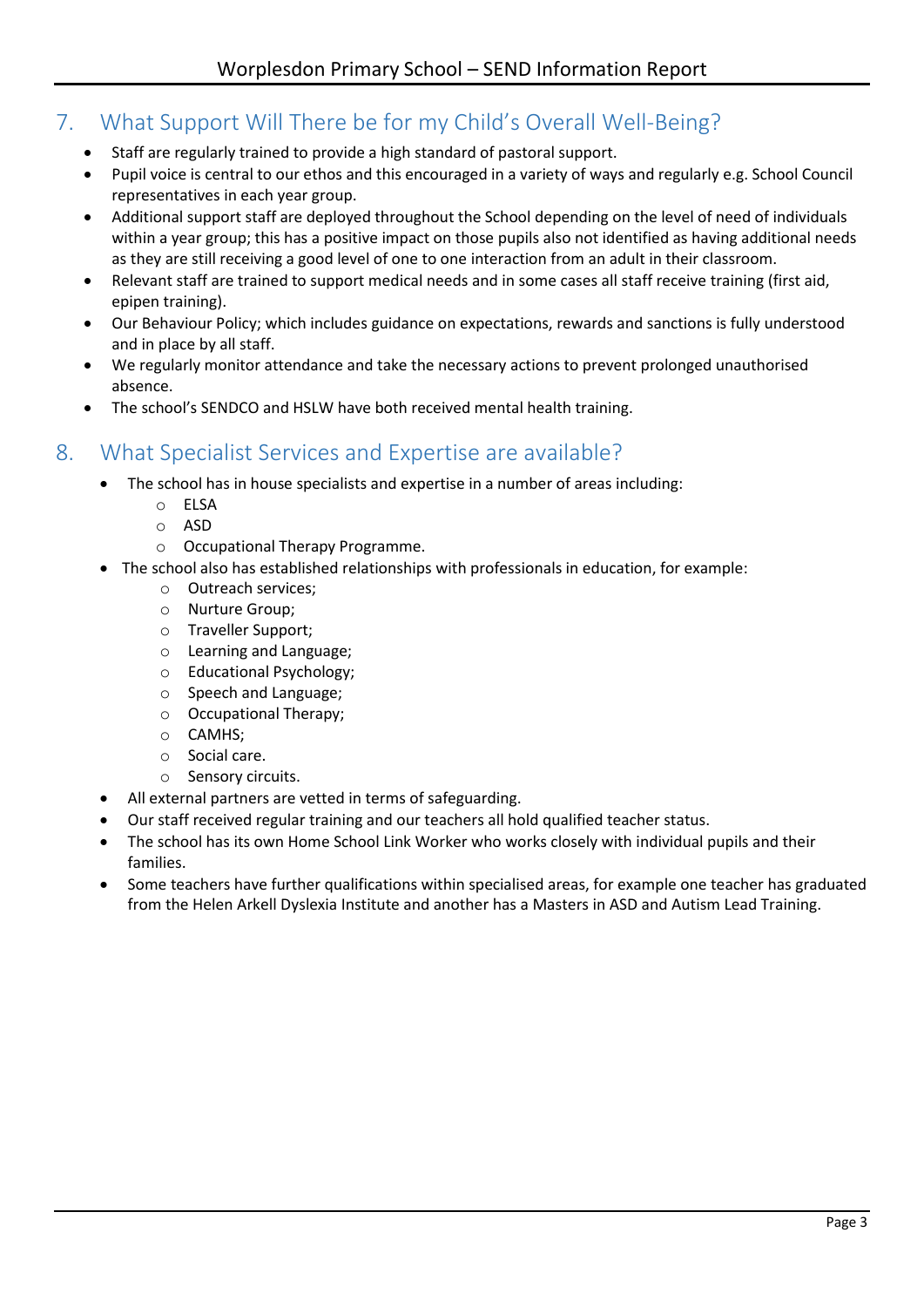# <span id="page-4-0"></span>7. What Support Will There be for my Child's Overall Well-Being?

- Staff are regularly trained to provide a high standard of pastoral support.
- Pupil voice is central to our ethos and this encouraged in a variety of ways and regularly e.g. School Council representatives in each year group.
- Additional support staff are deployed throughout the School depending on the level of need of individuals within a year group; this has a positive impact on those pupils also not identified as having additional needs as they are still receiving a good level of one to one interaction from an adult in their classroom.
- Relevant staff are trained to support medical needs and in some cases all staff receive training (first aid, epipen training).
- Our Behaviour Policy; which includes guidance on expectations, rewards and sanctions is fully understood and in place by all staff.
- We regularly monitor attendance and take the necessary actions to prevent prolonged unauthorised absence.
- The school's SENDCO and HSLW have both received mental health training.

#### <span id="page-4-1"></span>8. What Specialist Services and Expertise are available?

- The school has in house specialists and expertise in a number of areas including:
	- o ELSA
	- o ASD
	- o Occupational Therapy Programme.
- The school also has established relationships with professionals in education, for example:
	- o Outreach services;
	- o Nurture Group;
	- o Traveller Support;
	- o Learning and Language;
	- o Educational Psychology;
	- o Speech and Language;
	- o Occupational Therapy;
	- o CAMHS;
	- o Social care.
	- o Sensory circuits.
- All external partners are vetted in terms of safeguarding.
- Our staff received regular training and our teachers all hold qualified teacher status.
- The school has its own Home School Link Worker who works closely with individual pupils and their families.
- Some teachers have further qualifications within specialised areas, for example one teacher has graduated from the Helen Arkell Dyslexia Institute and another has a Masters in ASD and Autism Lead Training.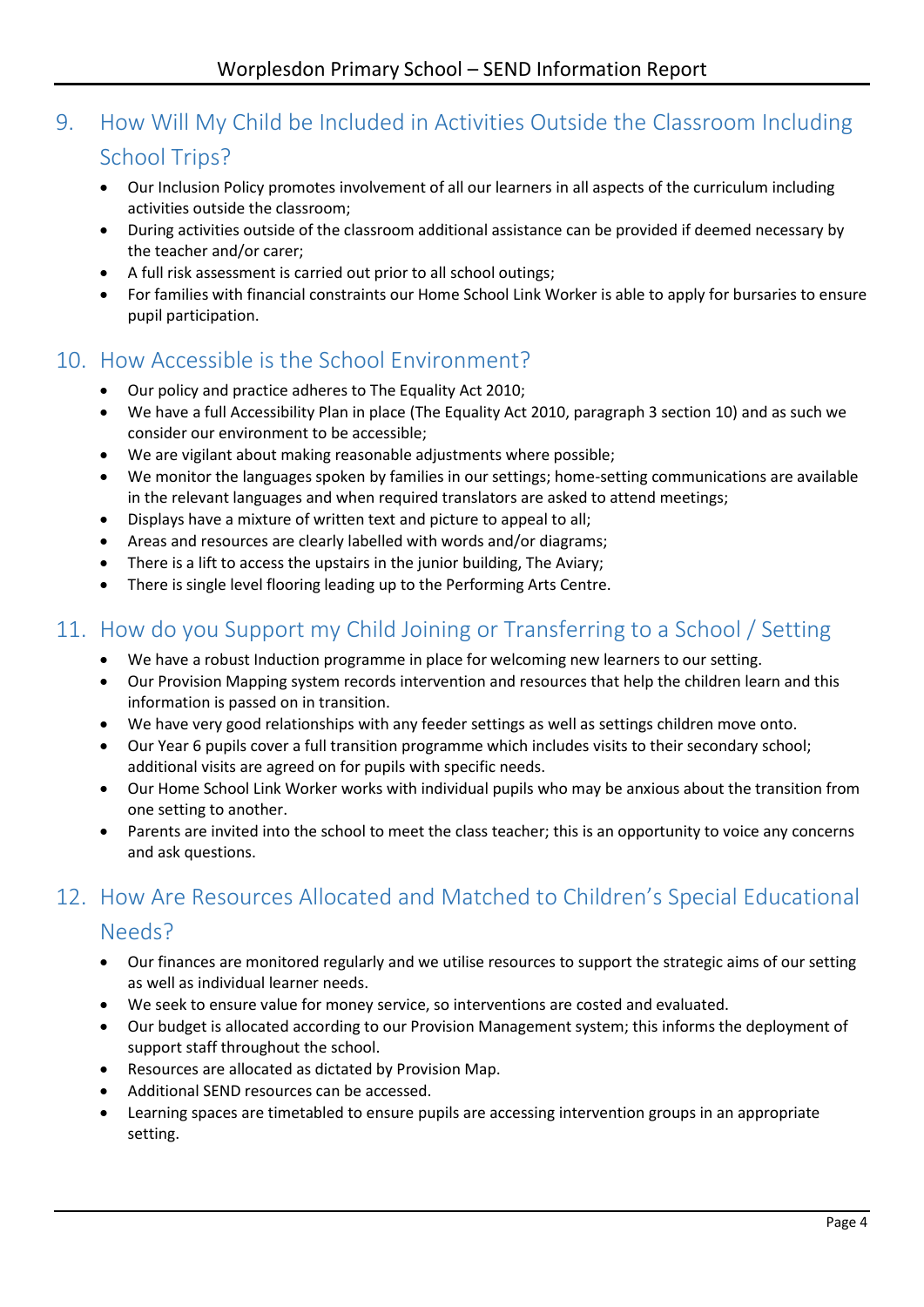# <span id="page-5-0"></span>9. How Will My Child be Included in Activities Outside the Classroom Including School Trips?

- Our Inclusion Policy promotes involvement of all our learners in all aspects of the curriculum including activities outside the classroom;
- During activities outside of the classroom additional assistance can be provided if deemed necessary by the teacher and/or carer;
- A full risk assessment is carried out prior to all school outings;
- For families with financial constraints our Home School Link Worker is able to apply for bursaries to ensure pupil participation.

### <span id="page-5-1"></span>10. How Accessible is the School Environment?

- Our policy and practice adheres to The Equality Act 2010;
- We have a full Accessibility Plan in place (The Equality Act 2010, paragraph 3 section 10) and as such we consider our environment to be accessible;
- We are vigilant about making reasonable adjustments where possible;
- We monitor the languages spoken by families in our settings; home-setting communications are available in the relevant languages and when required translators are asked to attend meetings;
- Displays have a mixture of written text and picture to appeal to all;
- Areas and resources are clearly labelled with words and/or diagrams;
- There is a lift to access the upstairs in the junior building, The Aviary;
- There is single level flooring leading up to the Performing Arts Centre.

## <span id="page-5-2"></span>11. How do you Support my Child Joining or Transferring to a School / Setting

- We have a robust Induction programme in place for welcoming new learners to our setting.
- Our Provision Mapping system records intervention and resources that help the children learn and this information is passed on in transition.
- We have very good relationships with any feeder settings as well as settings children move onto.
- Our Year 6 pupils cover a full transition programme which includes visits to their secondary school; additional visits are agreed on for pupils with specific needs.
- Our Home School Link Worker works with individual pupils who may be anxious about the transition from one setting to another.
- Parents are invited into the school to meet the class teacher; this is an opportunity to voice any concerns and ask questions.

# <span id="page-5-3"></span>12. How Are Resources Allocated and Matched to Children's Special Educational

#### Needs?

- Our finances are monitored regularly and we utilise resources to support the strategic aims of our setting as well as individual learner needs.
- We seek to ensure value for money service, so interventions are costed and evaluated.
- Our budget is allocated according to our Provision Management system; this informs the deployment of support staff throughout the school.
- Resources are allocated as dictated by Provision Map.
- Additional SEND resources can be accessed.
- Learning spaces are timetabled to ensure pupils are accessing intervention groups in an appropriate setting.